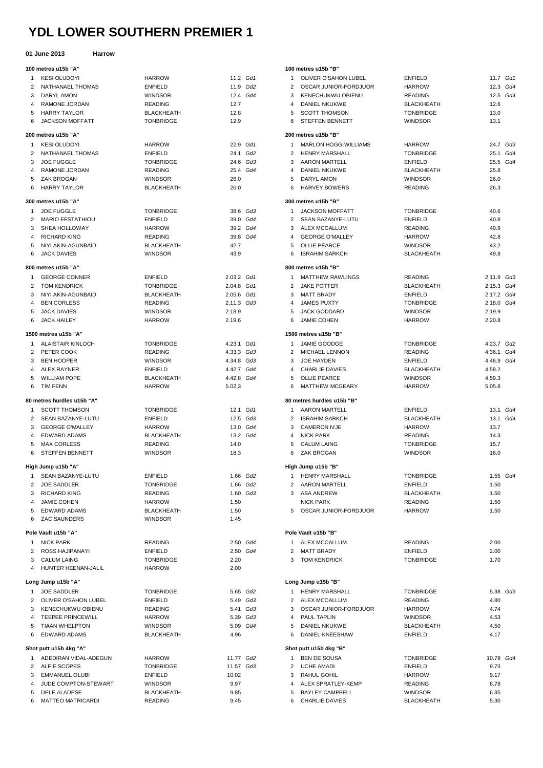# **YDL LOWER SOUTHERN PREMIER 1**

#### **01 June 2013 Harrow**

|                | v i vuliv Lviv             |                   |            |  |
|----------------|----------------------------|-------------------|------------|--|
|                | 100 metres u15b "A"        |                   |            |  |
| $\mathbf{1}$   | KESI OLUDOYI               | <b>HARROW</b>     | 11.2 Gd1   |  |
| $\overline{2}$ | NATHANAEL THOMAS           | ENFIELD           | 11.9 Gd2   |  |
| 3              | DARYL AMON                 | <b>WINDSOR</b>    | 12.4 Gd4   |  |
| $\overline{4}$ | RAMONE JORDAN              | <b>READING</b>    | 12.7       |  |
| 5              | HARRY TAYLOR               | <b>BLACKHEATH</b> | 12.8       |  |
| 6              | JACKSON MOFFATT            | <b>TONBRIDGE</b>  | 12.9       |  |
|                | 200 metres u15b "A"        |                   |            |  |
| $\mathbf{1}$   | <b>KESI OLUDOYI</b>        | HARROW            | 22.9 Gd1   |  |
| $\overline{2}$ | NATHANAEL THOMAS           | <b>ENFIELD</b>    | 24.1 Gd2   |  |
| 3              | JOE FUGGLE                 | <b>TONBRIDGE</b>  | 24.6 Gd3   |  |
| $\overline{4}$ | RAMONE JORDAN              | <b>READING</b>    | 25.4 Gd4   |  |
| 5              | ZAK BROGAN                 | <b>WINDSOR</b>    | 26.0       |  |
| 6              | <b>HARRY TAYLOR</b>        | <b>BLACKHEATH</b> | 26.0       |  |
|                | 300 metres u15b "A"        |                   |            |  |
| $\mathbf{1}$   | <b>JOE FUGGLE</b>          | <b>TONBRIDGE</b>  | 38.6 Gd3   |  |
| $\overline{2}$ | MARIO EFSTATHIOU           | <b>ENFIELD</b>    | 39.0 Gd4   |  |
| 3              | SHEA HOLLOWAY              | <b>HARROW</b>     | 39.2 Gd4   |  |
| $\overline{4}$ | RICHARD KING               | READING           | 39.8 Gd4   |  |
| 5              | NIYI AKIN-AGUNBAID         | <b>BLACKHEATH</b> | 42.7       |  |
| 6              | <b>JACK DAVIES</b>         | <b>WINDSOR</b>    | 43.9       |  |
|                | 800 metres u15b "A"        |                   |            |  |
| 1              | <b>GEORGE CONNER</b>       | <b>ENFIELD</b>    | 2.03.2 Gd1 |  |
|                | 2 TOM KENDRICK             | <b>TONBRIDGE</b>  | 2.04.8 Gd1 |  |
| 3              | NIYI AKIN-AGUNBAID         | <b>BLACKHEATH</b> | 2.05.6 Gd1 |  |
| $\overline{4}$ | <b>BEN CORLESS</b>         | READING           | 2.11.3 Gd3 |  |
| 5              | <b>JACK DAVIES</b>         | <b>WINDSOR</b>    | 2.18.9     |  |
| 6              | <b>JACK HAILEY</b>         | <b>HARROW</b>     | 2.19.6     |  |
|                | 1500 metres u15b "A"       |                   |            |  |
| $\mathbf{1}$   | ALAISTAIR KINLOCH          | <b>TONBRIDGE</b>  | 4.23.1 Gd1 |  |
|                | 2 PETER COOK               | READING           | 4.33.3 Gd3 |  |
| 3              | BEN HOOPER                 | <b>WINDSOR</b>    | 4.34.8 Gd3 |  |
| 4              | ALEX RAYNER                | ENFIELD           | 4.42.7 Gd4 |  |
| 5              | <b>WILLIAM POPE</b>        | <b>BLACKHEATH</b> | 4.42.8 Gd4 |  |
| 6              | TIM FENN                   | <b>HARROW</b>     | 5.02.3     |  |
|                | 80 metres hurdles u15b "A" |                   |            |  |
| 1              | <b>SCOTT THOMSON</b>       | <b>TONBRIDGE</b>  | 12.1 Gd1   |  |
| $\overline{2}$ | SEAN BAZANYE-LUTU          | <b>ENFIELD</b>    | 12.5 Gd3   |  |
| 3              | <b>GEORGE O'MALLEY</b>     | <b>HARROW</b>     | 13.0 Gd4   |  |
| 4              | <b>EDWARD ADAMS</b>        | <b>BLACKHEATH</b> | 13.2 Gd4   |  |
| 5              | <b>MAX CORLESS</b>         | <b>READING</b>    | 14.0       |  |
| 6              | <b>STEFFEN BENNETT</b>     | <b>WINDSOR</b>    | 18.3       |  |
|                | High Jump u15b "A"         |                   |            |  |
| 1              | SEAN BAZANYE-LUTU          | <b>ENFIELD</b>    | 1.66 Gd2   |  |
| $\overline{2}$ | <b>JOE SADDLER</b>         | <b>TONBRIDGE</b>  | 1.66 Gd2   |  |
| 3              | <b>RICHARD KING</b>        | <b>READING</b>    | 1.60 Gd3   |  |
| $\overline{4}$ | JAMIE COHEN                | <b>HARROW</b>     | 1.50       |  |
| 5              | <b>EDWARD ADAMS</b>        | <b>BLACKHEATH</b> | 1.50       |  |
| 6              | <b>ZAC SAUNDERS</b>        | <b>WINDSOR</b>    | 1.45       |  |
|                | Pole Vault u15b "A"        |                   |            |  |
| $\mathbf{1}$   | <b>NICK PARK</b>           | <b>READING</b>    | 2.50 Gd4   |  |
| $\overline{2}$ | ROSS HAJIPANAYI            | <b>ENFIELD</b>    | 2.50 Gd4   |  |
|                | 3 CALUM LAING              | <b>TONBRIDGE</b>  | 2.20       |  |
| $\overline{4}$ | HUNTER HEENAN-JALIL        | <b>HARROW</b>     | 2.00       |  |
|                | Long Jump u15b "A"         |                   |            |  |
| 1              | <b>JOE SADDLER</b>         | <b>TONBRIDGE</b>  | 5.65 Gd2   |  |
| $\overline{2}$ | OLIVER O'SAHON LUBEL       | <b>ENFIELD</b>    | 5.49 Gd3   |  |
| 3              | KENECHUKWU OBIENU          | <b>READING</b>    | 5.41 Gd3   |  |
| $\overline{4}$ | <b>TEEPEE PRINCEWILL</b>   | <b>HARROW</b>     | 5.39 Gd3   |  |
| 5              | <b>TIAAN WHELPTON</b>      | <b>WINDSOR</b>    | 5.09 Gd4   |  |
| 6              | <b>EDWARD ADAMS</b>        | <b>BLACKHEATH</b> | 4.96       |  |
|                | Shot putt u15b 4kg "A"     |                   |            |  |
| $\mathbf{1}$   | ADEDIRAN VIDAL-ADEGUN      | <b>HARROW</b>     | 11.77 Gd2  |  |
| $\overline{2}$ | ALFIE SCOPES               | <b>TONBRIDGE</b>  | 11.57 Gd3  |  |
|                | 3 EMMANUEL OLUBI           | <b>ENFIELD</b>    | 10.02      |  |
| 4              | JUDE COMPTON-STEWART       | <b>WINDSOR</b>    | 9.97       |  |
| 5              | <b>DELE ALADESE</b>        | <b>BLACKHEATH</b> | 9.85       |  |
| 6              | <b>MATTEO MATRICARDI</b>   | <b>READING</b>    | 9.45       |  |

#### **100 metres u15b "B"**

|    |                | עט שטוויטט ווי              |                   |            |          |
|----|----------------|-----------------------------|-------------------|------------|----------|
| 11 | 1              | OLIVER O'SAHON LUBEL        | <b>ENFIELD</b>    | 11.7 Gd1   |          |
| 12 | $\overline{2}$ | OSCAR JUNIOR-FORDJUOR       | <b>HARROW</b>     |            | 12.3 Gd4 |
| 14 | 3              | <b>KENECHUKWU OBIENU</b>    | <b>READING</b>    |            | 12.5 Gd4 |
|    |                |                             |                   |            |          |
|    | 4              | <b>DANIEL NKUKWE</b>        | <b>BLACKHEATH</b> | 12.6       |          |
|    | 5              | <b>SCOTT THOMSON</b>        | <b>TONBRIDGE</b>  | 13.0       |          |
|    | 6              | STEFFEN BENNETT             | <b>WINDSOR</b>    | 13.1       |          |
|    |                | 200 metres u15b "B"         |                   |            |          |
| 11 | $\mathbf{1}$   | <b>MARLON HOGG-WILLIAMS</b> | <b>HARROW</b>     | 24.7 Gd3   |          |
| 12 | $\overline{2}$ | HENRY MARSHALL              | <b>TONBRIDGE</b>  | 25.1 Gd4   |          |
| 13 | 3              | AARON MARTELL               | <b>ENFIELD</b>    | 25.5 Gd4   |          |
| 14 | 4              | DANIEL NKUKWE               | <b>BLACKHEATH</b> | 25.8       |          |
|    |                |                             | <b>WINDSOR</b>    |            |          |
|    | 5              | DARYL AMON                  |                   | 26.0       |          |
|    | 6              | <b>HARVEY BOWERS</b>        | <b>READING</b>    | 26.3       |          |
|    |                | 300 metres u15b "B"         |                   |            |          |
| 13 | $\mathbf{1}$   | <b>JACKSON MOFFATT</b>      | <b>TONBRIDGE</b>  | 40.6       |          |
| 14 | 2              | SEAN BAZANYE-LUTU           | <b>ENFIELD</b>    | 40.8       |          |
| 14 | 3              | ALEX MCCALLUM               | <b>READING</b>    | 40.9       |          |
| 14 | 4              | <b>GEORGE O'MALLEY</b>      | <b>HARROW</b>     | 42.8       |          |
|    | 5              | OLLIE PEARCE                | <b>WINDSOR</b>    | 43.2       |          |
|    | 6              | <b>IBRAHIM SARKCH</b>       | <b>BLACKHEATH</b> | 49.8       |          |
|    |                |                             |                   |            |          |
|    |                | 800 metres u15b "B"         |                   |            |          |
| 11 | $\mathbf{1}$   | <b>MATTHEW RAWLINGS</b>     | <b>READING</b>    | 2.11.9 Gd3 |          |
| 11 | 2              | <b>JAKE POTTER</b>          | <b>BLACKHEATH</b> | 2.15.3 Gd4 |          |
| 11 | 3              | <b>MATT BRADY</b>           | <b>ENFIELD</b>    | 2.17.2 Gd4 |          |
| 13 | 4              | <b>JAMES PUXTY</b>          | <b>TONBRIDGE</b>  | 2.18.0 Gd4 |          |
|    | 5              | JACK GODDARD                | <b>WINDSOR</b>    | 2.19.9     |          |
|    | 6              | <b>JAMIE COHEN</b>          | <b>HARROW</b>     | 2.20.8     |          |
|    |                | 1500 metres u15b "B"        |                   |            |          |
|    |                |                             |                   |            |          |
| 11 | 1              | <b>JAMIE GOODGE</b>         | <b>TONBRIDGE</b>  | 4.23.7 Gd2 |          |
| 13 | $\overline{2}$ | <b>MICHAEL LENNON</b>       | <b>READING</b>    | 4.36.1 Gd4 |          |
| 13 | 3              | JOE HAYDEN                  | <b>ENFIELD</b>    | 4.46.9 Gd4 |          |
| 14 | 4              | <b>CHARLIE DAVIES</b>       | <b>BLACKHEATH</b> | 4.58.2     |          |
| 14 | 5              | <b>OLLIE PEARCE</b>         | <b>WINDSOR</b>    | 4.59.3     |          |
|    | 6              | <b>MATTHEW MCGEARY</b>      | <b>HARROW</b>     | 5.05.8     |          |
|    |                | 80 metres hurdles u15b "B"  |                   |            |          |
| 11 | $\mathbf{1}$   | AARON MARTELL               | <b>ENFIELD</b>    | 13.1 Gd4   |          |
| 13 | $\overline{2}$ | <b>IBRAHIM SARKCH</b>       | <b>BLACKHEATH</b> |            | 13.1 Gd4 |
|    |                |                             |                   |            |          |
| 14 | 3              | <b>CAMERON N'JE</b>         | <b>HARROW</b>     | 13.7       |          |
| 14 | 4              | <b>NICK PARK</b>            | <b>READING</b>    | 14.3       |          |
|    | 5              | <b>CALUM LAING</b>          | <b>TONBRIDGE</b>  | 15.7       |          |
|    | 6              | ZAK BROGAN                  | <b>WINDSOR</b>    | 16.0       |          |
|    |                | High Jump u15b "B"          |                   |            |          |
| 12 | 1              | <b>HENRY MARSHALL</b>       | <b>TONBRIDGE</b>  |            | 1.55 Gd4 |
| 12 | $\overline{2}$ | <b>AARON MARTELL</b>        | <b>ENFIELD</b>    | 1.50       |          |
| 13 | 3              | ASA ANDREW                  | <b>BLACKHEATH</b> | 1.50       |          |
|    |                | <b>NICK PARK</b>            | READING           | 1.50       |          |
|    | 5              | OSCAR JUNIOR-FORDJUOR       | <b>HARROW</b>     | 1.50       |          |
|    |                |                             |                   |            |          |
|    |                |                             |                   |            |          |
| 14 |                | Pole Vault u15b "B"         | <b>READING</b>    |            |          |
|    | 1              | ALEX MCCALLUM               |                   | 2.00       |          |
| 14 |                | 2 MATT BRADY                | ENFIELD           | 2.00       |          |
|    |                | 3 TOM KENDRICK              | <b>TONBRIDGE</b>  | 1.70       |          |
|    |                |                             |                   |            |          |
|    |                | Long Jump u15b "B"          |                   |            |          |
| 12 | $\mathbf{1}$   | <b>HENRY MARSHALL</b>       | <b>TONBRIDGE</b>  |            | 5.38 Gd3 |
| 13 | $\overline{2}$ | ALEX MCCALLUM               | <b>READING</b>    | 4.80       |          |
| 13 | 3              | OSCAR JUNIOR-FORDJUOR       | HARROW            | 4.74       |          |
| 13 | 4              | PAUL TAPLIN                 | <b>WINDSOR</b>    | 4.53       |          |
| 14 | 5              | DANIEL NKUKWE               | <b>BLACKHEATH</b> | 4.50       |          |
|    | 6              | DANIEL KNEESHAW             | <b>ENFIELD</b>    | 4.17       |          |
|    |                |                             |                   |            |          |
|    |                | Shot putt u15b 4kg "B"      |                   |            |          |
| 12 | 1              | BEN DE SOUSA                | <b>TONBRIDGE</b>  | 10.78 Gd4  |          |
| 13 | 2              | <b>UCHE AMADI</b>           | <b>ENFIELD</b>    | 9.73       |          |
|    | 3              | RAHUL GOHIL                 | <b>HARROW</b>     | 9.17       |          |
|    | 4              | ALEX SPRATLEY-KEMP          | <b>READING</b>    | 8.78       |          |
|    | 5              | <b>BAYLEY CAMPBELL</b>      | <b>WINDSOR</b>    | 6.35       |          |
|    | 6              | CHARLIE DAVIES              | <b>BLACKHEATH</b> | 5.30       |          |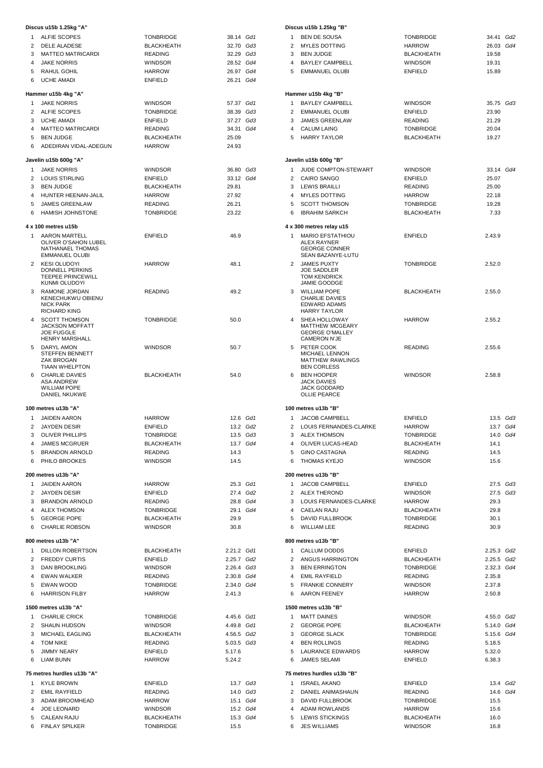|                | Discus u15b 1.25kg "A"                                                                    |                                    |                |
|----------------|-------------------------------------------------------------------------------------------|------------------------------------|----------------|
| $\mathbf{1}$   | <b>ALFIE SCOPES</b>                                                                       | <b>TONBRIDGE</b>                   | 38.14 Gd1      |
| $\overline{2}$ | <b>DELE ALADESE</b>                                                                       | <b>BLACKHEATH</b>                  | 32.70 Gd3      |
| 3              | <b>MATTEO MATRICARDI</b>                                                                  | <b>READING</b>                     | 32.29<br>Gd3   |
| 4              | <b>JAKE NORRIS</b>                                                                        | <b>WINDSOR</b>                     | 28.52<br>Gd4   |
| 5              | RAHUL GOHIL                                                                               | <b>HARROW</b>                      | Gd4<br>26.97   |
| 6              | <b>UCHE AMADI</b>                                                                         | <b>ENFIELD</b>                     | 26.21 Gd4      |
|                | Hammer u15b 4kg "A"                                                                       |                                    |                |
| $\mathbf{1}$   | <b>JAKE NORRIS</b>                                                                        | <b>WINDSOR</b>                     | 57.37<br>Gd1   |
|                | 2 ALFIE SCOPES                                                                            | <b>TONBRIDGE</b>                   | Gd3<br>38.39   |
| 3              | <b>UCHE AMADI</b>                                                                         | <b>ENFIELD</b>                     | 37.27<br>Gd3   |
| 4              | <b>MATTEO MATRICARDI</b>                                                                  | <b>READING</b>                     | Gd4<br>34.31   |
| 5<br>6         | <b>BEN JUDGE</b><br>ADEDIRAN VIDAL-ADEGUN                                                 | <b>BLACKHEATH</b><br><b>HARROW</b> | 25.09<br>24.93 |
|                |                                                                                           |                                    |                |
|                | Javelin u15b 600g "A"                                                                     |                                    |                |
| 1              | <b>JAKE NORRIS</b>                                                                        | <b>WINDSOR</b>                     | 36.80 Gd3      |
| $\overline{2}$ | <b>LOUIS STIRLING</b>                                                                     | <b>ENFIELD</b>                     | 33.12 Gd4      |
| 3<br>4         | <b>BEN JUDGE</b><br>HUNTER HEENAN-JALIL                                                   | BLACKHEATH<br><b>HARROW</b>        | 29.81          |
| 5              | <b>JAMES GREENLAW</b>                                                                     | <b>READING</b>                     | 27.92<br>26.21 |
| 6              | HAMISH JOHNSTONE                                                                          | <b>TONBRIDGE</b>                   | 23.22          |
|                |                                                                                           |                                    |                |
|                | 4 x 100 metres u15b                                                                       |                                    |                |
| 1              | <b>AARON MARTELL</b><br>OLIVER O'SAHON LUBEL<br>NATHANAEL THOMAS<br><b>EMMANUEL OLUBI</b> | <b>ENFIELD</b>                     | 46.9           |
| $\overline{2}$ | <b>KESI OLUDOYI</b><br><b>DONNELL PERKINS</b><br><b>TEEPEE PRINCEWILL</b>                 | <b>HARROW</b>                      | 48.1           |
| 3              | KUNMI OLUDOYI<br>RAMONE JORDAN<br>KENECHUKWU OBIENU<br><b>NICK PARK</b>                   | <b>READING</b>                     | 49.2           |
| 4              | <b>RICHARD KING</b><br><b>SCOTT THOMSON</b>                                               | <b>TONBRIDGE</b>                   | 50.0           |
|                | <b>JACKSON MOFFATT</b><br><b>JOE FUGGLE</b>                                               |                                    |                |
| 5              | <b>HENRY MARSHALL</b><br>DARYL AMON                                                       | <b>WINDSOR</b>                     | 50.7           |
|                | <b>STEFFEN BENNETT</b><br>ZAK BROGAN                                                      |                                    |                |
|                | <b>TIAAN WHELPTON</b><br><b>CHARLIE DAVIES</b>                                            | <b>BLACKHEATH</b>                  |                |
| 6              | ASA ANDREW<br><b>WILLIAM POPE</b><br><b>DANIEL NKUKWE</b>                                 |                                    | 54.0           |
|                | 100 metres u13b "A"                                                                       |                                    |                |
| 1              | <b>JAIDEN AARON</b>                                                                       | <b>HARROW</b>                      | 12.6 Gd1       |
| 2              | <b>JAYDEN DESIR</b>                                                                       | <b>ENFIELD</b>                     | 13.2 Gd2       |
| 3              | <b>OLIVER PHILLIPS</b>                                                                    | TONBRIDGE                          | 13.5 Gd3       |
| $\overline{4}$ | <b>JAMES MCGRUER</b>                                                                      | <b>BLACKHEATH</b>                  | 13.7 Gd4       |
| 5              | <b>BRANDON ARNOLD</b>                                                                     | <b>READING</b>                     | 14.3           |
| 6              | PHILO BROOKES                                                                             | <b>WINDSOR</b>                     | 14.5           |
|                | 200 metres u13b "A"                                                                       |                                    |                |
| $\mathbf{1}$   | <b>JAIDEN AARON</b>                                                                       | <b>HARROW</b>                      | 25.3 Gd1       |
| $\mathbf{2}$   | <b>JAYDEN DESIR</b>                                                                       | ENFIELD                            | 27.4 Gd2       |
|                | 3 BRANDON ARNOLD                                                                          | <b>READING</b>                     | 28.8<br>Gd4    |
|                | 4 ALEX THOMSON                                                                            | <b>TONBRIDGE</b>                   | 29.1 Gd4       |
| 5              | <b>GEORGE POPE</b>                                                                        | BLACKHEATH                         | 29.9           |
| 6              | <b>CHARLIE ROBSON</b>                                                                     | <b>WINDSOR</b>                     | 30.8           |
|                | 800 metres u13b "A"                                                                       |                                    |                |
| $\mathbf{1}$   | DILLON ROBERTSON                                                                          | BLACKHEATH                         | 2.21.2 Gd1     |
|                | 2 FREDDY CURTIS                                                                           | <b>ENFIELD</b>                     | 2.25.7 Gd2     |
|                | 3 DAN BROOKLING                                                                           | <b>WINDSOR</b>                     | 2.26.4 Gd3     |
|                | 4 EWAN WALKER                                                                             | <b>READING</b>                     | 2.30.8 Gd4     |
| 5              | EWAN WOOD                                                                                 | <b>TONBRIDGE</b>                   | 2.34.0 Gd4     |
| 6              | <b>HARRISON FILBY</b>                                                                     | <b>HARROW</b>                      | 2.41.3         |
| 1              | 1500 metres u13b "A"<br><b>CHARLIE CRICK</b>                                              | <b>TONBRIDGE</b>                   | 4.45.6 Gd1     |
| $\mathbf{2}$   | <b>SHAUN HUDSON</b>                                                                       | <b>WINDSOR</b>                     | 4.49.8 Gd1     |
| 3              | MICHAEL EAGLING                                                                           | <b>BLACKHEATH</b>                  | 4.56.5 Gd2     |
| $\overline{4}$ | TOM NIKE                                                                                  | <b>READING</b>                     | 5.03.5 Gd3     |
| 5              | <b>JIMMY NEARY</b>                                                                        | ENFIELD                            | 5.17.6         |
| 6              | <b>LIAM BUNN</b>                                                                          | <b>HARROW</b>                      | 5.24.2         |
| $\mathbf{1}$   | 75 metres hurdles u13b "A"<br><b>KYLE BROWN</b>                                           | ENFIELD                            | 13.7 Gd3       |
| $\mathbf{2}$   | <b>EMIL RAYFIELD</b>                                                                      | <b>READING</b>                     | 14.0 Gd3       |
| 3              | ADAM BROOMHEAD                                                                            | <b>HARROW</b>                      | 15.1<br>Gd4    |
| 4              | JOE LEONARD                                                                               | WINDSOR                            | 15.2 Gd4       |
| 5              | CALEAN RAJU                                                                               | <b>BLACKHEATH</b>                  | 15.3 Gd4       |
| 6              | <b>FINLAY SPILKER</b>                                                                     | <b>TONBRIDGE</b>                   | 15.5           |

|                | Discus u15b 1.25kg "B"                                              |                                    |                  |
|----------------|---------------------------------------------------------------------|------------------------------------|------------------|
| $\mathbf{1}$   | <b>BEN DE SOUSA</b>                                                 | <b>TONBRIDGE</b>                   | 34.41<br>Gd2     |
| 2              | <b>MYLES DOTTING</b>                                                | <b>HARROW</b>                      | 26.03 Gd4        |
| 3<br>4         | <b>BEN JUDGE</b>                                                    | <b>BLACKHEATH</b>                  | 19.58            |
| 5              | <b>BAYLEY CAMPBELL</b><br><b>EMMANUEL OLUBI</b>                     | <b>WINDSOR</b><br><b>ENFIELD</b>   | 19.31<br>15.89   |
|                |                                                                     |                                    |                  |
|                | Hammer u15b 4kg "B"                                                 |                                    |                  |
| 1              | <b>BAYLEY CAMPBELL</b>                                              | <b>WINDSOR</b>                     | 35.75 Gd3        |
| 2              | <b>EMMANUEL OLUBI</b>                                               | <b>ENFIELD</b>                     | 23.90            |
| 3              | <b>JAMES GREENLAW</b>                                               | <b>READING</b>                     | 21.29            |
| 4              | <b>CALUM LAING</b>                                                  | <b>TONBRIDGE</b>                   | 20.04            |
| 5              | <b>HARRY TAYLOR</b>                                                 | <b>BLACKHEATH</b>                  | 19.27            |
|                | Javelin u15b 600g "B"                                               |                                    |                  |
| 1              | JUDE COMPTON-STEWART                                                | <b>WINDSOR</b>                     | 33.14 Gd4        |
| 2              | CAIRO SANGO                                                         | <b>ENFIELD</b>                     | 25.07            |
| 3              | LEWIS BRAILLI                                                       | <b>READING</b>                     | 25.00            |
| 4              | <b>MYLES DOTTING</b>                                                | <b>HARROW</b>                      | 22.18            |
| 5              | <b>SCOTT THOMSON</b>                                                | <b>TONBRIDGE</b>                   | 19.28            |
| 6              | <b>IBRAHIM SARKCH</b>                                               | <b>BLACKHEATH</b>                  | 7.33             |
|                | 4 x 300 metres relay u15                                            |                                    |                  |
| 1              | <b>MARIO EFSTATHIOU</b>                                             | <b>ENFIELD</b>                     | 2.43.9           |
|                | ALEX RAYNER<br><b>GEORGE CONNER</b><br>SEAN BAZANYE-LUTU            |                                    |                  |
| 2              | <b>JAMES PUXTY</b>                                                  | <b>TONBRIDGE</b>                   | 2.52.0           |
|                | <b>JOE SADDLER</b><br><b>TOM KENDRICK</b><br><b>JAMIE GOODGE</b>    |                                    |                  |
| 3              | <b>WILLIAM POPE</b>                                                 | <b>BLACKHEATH</b>                  | 2.55.0           |
|                | <b>CHARLIE DAVIES</b><br><b>EDWARD ADAMS</b><br><b>HARRY TAYLOR</b> |                                    |                  |
| 4              | SHEA HOLLOWAY                                                       | <b>HARROW</b>                      | 2.55.2           |
|                | <b>MATTHEW MCGEARY</b>                                              |                                    |                  |
|                | <b>GEORGE O'MALLEY</b><br><b>CAMERON N'JE</b>                       |                                    |                  |
| 5              | PETER COOK                                                          | <b>READING</b>                     | 2.55.6           |
|                | MICHAEL LENNON<br><b>MATTHEW RAWLINGS</b><br><b>BEN CORLESS</b>     |                                    |                  |
| 6              | <b>BEN HOOPER</b>                                                   | <b>WINDSOR</b>                     | 2.58.8           |
|                | <b>JACK DAVIES</b><br><b>JACK GODDARD</b><br><b>OLLIE PEARCE</b>    |                                    |                  |
|                | 100 metres u13b "B"                                                 |                                    |                  |
| 1              | <b>JACOB CAMPBELL</b>                                               | <b>ENFIELD</b>                     | $13.5$ $Gd3$     |
| $\overline{2}$ | LOUIS FERNANDES-CLARKE                                              | <b>HARROW</b>                      | 13.7 Gd4         |
| 3              | <b>ALEX THOMSON</b>                                                 | <b>TONBRIDGE</b>                   | 14.0 Gd4         |
| 4              | OLIVER LUCAS-HEAD                                                   | <b>BLACKHEATH</b>                  | 14.1             |
|                | 5 GINO CASTAGNA                                                     | <b>READING</b>                     | 14.5             |
| 6              | THOMAS KYEJO                                                        | <b>WINDSOR</b>                     | 15.6             |
|                | 200 metres u13b "B"                                                 |                                    |                  |
| $\mathbf{1}$   | JACOB CAMPBELL                                                      | <b>ENFIELD</b>                     | 27.5 Gd3         |
| $\overline{2}$ | <b>ALEX THEROND</b>                                                 | <b>WINDSOR</b>                     | 27.5 Gd3         |
|                | 3 LOUIS FERNANDES-CLARKE                                            | <b>HARROW</b>                      | 29.3             |
|                | 4 CAELAN RAJU                                                       | <b>BLACKHEATH</b>                  | 29.8             |
|                | 5 DAVID FULLBROOK                                                   | <b>TONBRIDGE</b>                   | 30.1             |
| 6              | <b>WILLIAM LEE</b>                                                  | <b>READING</b>                     | 30.9             |
|                | 800 metres u13b "B"                                                 |                                    |                  |
| 1              | CALLUM DODDS                                                        | ENFIELD                            | 2.25.3 Gd2       |
|                | 2 ANGUS HARRINGTON                                                  | <b>BLACKHEATH</b>                  | 2.25.5 Gd2       |
|                | 3 BEN ERRINGTON                                                     | <b>TONBRIDGE</b>                   | 2.32.3 Gd4       |
|                | 4 EMIL RAYFIELD<br>5 FRANKIE CONNERY                                | <b>READING</b><br><b>WINDSOR</b>   | 2.35.8<br>2.37.8 |
| 6              | <b>AARON FEENEY</b>                                                 | <b>HARROW</b>                      | 2.50.8           |
|                | 1500 metres u13b "B"                                                |                                    |                  |
| 1              | <b>MATT DAINES</b>                                                  | <b>WINDSOR</b>                     | 4.55.0 Gd2       |
| $\overline{2}$ | <b>GEORGE POPE</b>                                                  | <b>BLACKHEATH</b>                  | 5.14.0 Gd4       |
|                | 3 GEORGE SLACK                                                      | <b>TONBRIDGE</b>                   | 5.15.6 Gd4       |
|                | 4 BEN ROLLINGS                                                      | <b>READING</b>                     | 5.18.5           |
|                | 5 LAURANCE EDWARDS                                                  | <b>HARROW</b>                      | 5.32.0           |
| 6              | <b>JAMES SELAMI</b>                                                 | <b>ENFIELD</b>                     | 6.38.3           |
|                | 75 metres hurdles u13b "B"                                          |                                    |                  |
| $\mathbf{1}$   |                                                                     |                                    | 13.4 Gd2         |
|                | <b>ISRAEL AKANO</b>                                                 | ENFIELD                            |                  |
| $\mathbf{2}$   | DANIEL ANIMASHAUN                                                   | <b>READING</b>                     | 14.6 Gd4         |
|                | 3 DAVID FULLBROOK                                                   | <b>TONBRIDGE</b>                   | 15.5             |
| 4<br>5         | ADAM ROWLANDS<br><b>LEWIS STICKINGS</b>                             | <b>HARROW</b><br><b>BLACKHEATH</b> | 15.6<br>16.0     |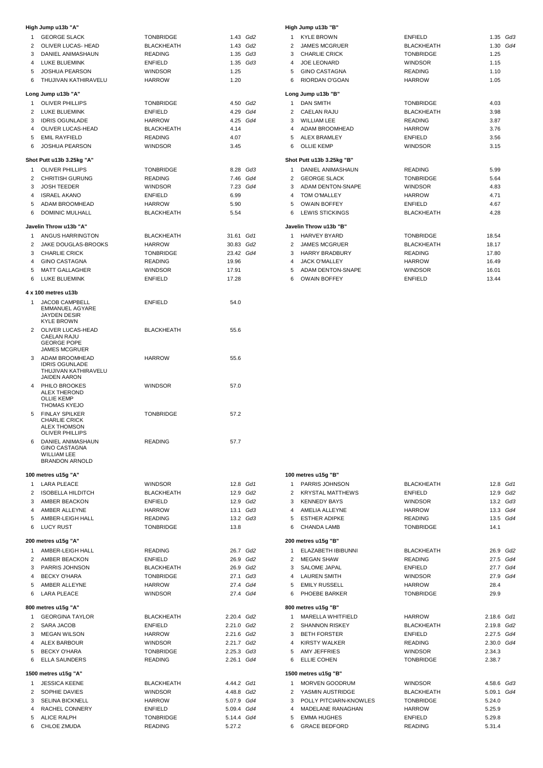|                | High Jump u13b "A"                                                                      |                   |                          |  |
|----------------|-----------------------------------------------------------------------------------------|-------------------|--------------------------|--|
| $\mathbf{1}$   | <b>GEORGE SLACK</b>                                                                     | <b>TONBRIDGE</b>  | 1.43 Gd2                 |  |
| $\overline{2}$ | OLIVER LUCAS- HEAD                                                                      | <b>BLACKHEATH</b> | 1.43 Gd2                 |  |
| 3              | DANIEL ANIMASHAUN                                                                       | <b>READING</b>    | 1.35<br>Gd3              |  |
| 4              | LUKE BLUEMINK                                                                           | <b>ENFIELD</b>    | 1.35 Gd3                 |  |
| 5              | JOSHUA PEARSON                                                                          | <b>WINDSOR</b>    | 1.25                     |  |
| 6              | THUJIVAN KATHIRAVELU                                                                    | <b>HARROW</b>     | 1.20                     |  |
|                | Long Jump u13b "A"                                                                      |                   |                          |  |
| $\mathbf{1}$   | <b>OLIVER PHILLIPS</b>                                                                  | <b>TONBRIDGE</b>  | 4.50 Gd2                 |  |
| $\overline{2}$ | LUKE BLUEMINK                                                                           | <b>ENFIELD</b>    | 4.29 Gd4                 |  |
| 3              | <b>IDRIS OGUNLADE</b>                                                                   | <b>HARROW</b>     | 4.25 Gd4                 |  |
| 4              | OLIVER LUCAS-HEAD                                                                       | <b>BLACKHEATH</b> | 4.14                     |  |
| 5              | <b>EMIL RAYFIELD</b>                                                                    | <b>READING</b>    | 4.07                     |  |
| 6              | <b>JOSHUA PEARSON</b>                                                                   | <b>WINDSOR</b>    | 3.45                     |  |
|                | Shot Putt u13b 3.25kg "A"                                                               |                   |                          |  |
| 1              | <b>OLIVER PHILLIPS</b>                                                                  | <b>TONBRIDGE</b>  | 8.28 Gd3                 |  |
| $\overline{2}$ | <b>CHRITISH GURUNG</b>                                                                  | <b>READING</b>    | 7.46 Gd4                 |  |
| 3              | <b>JOSH TEEDER</b>                                                                      | <b>WINDSOR</b>    | 7.23 Gd4                 |  |
| 4              | <b>ISRAEL AKANO</b>                                                                     | <b>ENFIELD</b>    | 6.99                     |  |
| 5              | ADAM BROOMHEAD                                                                          | <b>HARROW</b>     | 5.90                     |  |
| 6              | <b>DOMINIC MULHALL</b>                                                                  | <b>BLACKHEATH</b> | 5.54                     |  |
|                | Javelin Throw u13b "A"                                                                  |                   |                          |  |
| 1              | ANGUS HARRINGTON                                                                        | <b>BLACKHEATH</b> | 31.61<br>Gd1             |  |
| 2              | <b>JAKE DOUGLAS-BROOKS</b>                                                              | <b>HARROW</b>     | Gd <sub>2</sub><br>30.83 |  |
| 3              | <b>CHARLIE CRICK</b>                                                                    | <b>TONBRIDGE</b>  | 23.42 Gd4                |  |
| 4              | <b>GINO CASTAGNA</b>                                                                    | <b>READING</b>    | 19.96                    |  |
| 5              | <b>MATT GALLAGHER</b>                                                                   | <b>WINDSOR</b>    | 17.91                    |  |
| 6              | LUKE BLUEMINK                                                                           | <b>ENFIELD</b>    | 17.28                    |  |
|                | 4 x 100 metres u13b                                                                     |                   |                          |  |
| 1              | <b>JACOB CAMPBELL</b>                                                                   | <b>ENFIELD</b>    | 54.0                     |  |
|                | EMMANUEL AGYARE<br>JAYDEN DESIR<br><b>KYLE BROWN</b>                                    |                   |                          |  |
| $\overline{2}$ | OLIVER LUCAS-HEAD<br><b>CAELAN RAJU</b><br><b>GEORGE POPE</b>                           | <b>BLACKHEATH</b> | 55.6                     |  |
| 3              | <b>JAMES MCGRUER</b><br>ADAM BROOMHEAD<br><b>IDRIS OGUNLADE</b><br>THUJIVAN KATHIRAVELU | <b>HARROW</b>     | 55.6                     |  |
| 4              | JAIDEN AARON<br>PHILO BROOKES<br>ALEX THEROND                                           | <b>WINDSOR</b>    | 57.0                     |  |
| 5              | <b>OLLIE KEMP</b><br><b>THOMAS KYEJO</b><br><b>FINLAY SPILKER</b>                       | <b>TONBRIDGE</b>  | 57.2                     |  |
|                | <b>CHARLIE CRICK</b><br><b>ALEX THOMSON</b><br>OLIVER PHILLIPS                          |                   |                          |  |
| 6              | <b>DANIEL ANIMASHAUN</b><br><b>GINO CASTAGNA</b>                                        | <b>READING</b>    | 57.7                     |  |
|                | <b>WILLIAM LEE</b><br><b>BRANDON ARNOLD</b>                                             |                   |                          |  |
|                | 100 metres u15g "A"                                                                     |                   |                          |  |
| 1              | <b>LARA PLEACE</b>                                                                      | <b>WINDSOR</b>    | 12.8 Gd1                 |  |
| $\overline{2}$ | <b>ISOBELLA HILDITCH</b>                                                                | <b>BLACKHEATH</b> | 12.9 Gd2                 |  |
| 3              | AMBER BEACKON                                                                           | <b>ENFIELD</b>    | 12.9 Gd2                 |  |
| $\overline{4}$ | AMBER ALLEYNE                                                                           | <b>HARROW</b>     | 13.1 Gd3                 |  |
| 5              | AMBER-LEIGH HALL                                                                        | <b>READING</b>    | 13.2 Gd3                 |  |
| 6              | <b>LUCY RUST</b>                                                                        | <b>TONBRIDGE</b>  | 13.8                     |  |
|                | 200 metres u15g "A"                                                                     |                   |                          |  |
| 1              | AMBER-LEIGH HALL                                                                        | <b>READING</b>    | Gd <sub>2</sub><br>26.7  |  |
| $\overline{2}$ | AMBER BEACKON                                                                           | <b>ENFIELD</b>    | 26.9 Gd2                 |  |
| 3              | PARRIS JOHNSON                                                                          | <b>BLACKHEATH</b> | 26.9 Gd2                 |  |
| $\overline{4}$ | <b>BECKY O'HARA</b>                                                                     | <b>TONBRIDGE</b>  | 27.1 Gd3                 |  |
| 5              | AMBER ALLEYNE                                                                           | <b>HARROW</b>     | 27.4 Gd4                 |  |
| 6              | <b>LARA PLEACE</b>                                                                      | <b>WINDSOR</b>    | 27.4 Gd4                 |  |
|                | 800 metres u15g "A"                                                                     |                   |                          |  |
| 1              | <b>GEORGINA TAYLOR</b>                                                                  | <b>BLACKHEATH</b> | 2.20.4 Gd2               |  |
| 2              | SARA JACOB                                                                              | <b>ENFIELD</b>    | 2.21.0 Gd2               |  |
| 3              | <b>MEGAN WILSON</b>                                                                     | <b>HARROW</b>     | 2.21.6 Gd2               |  |
| 4              | ALEX BARBOUR                                                                            | <b>WINDSOR</b>    | 2.21.7 Gd2               |  |
| 5              | <b>BECKY O'HARA</b>                                                                     | <b>TONBRIDGE</b>  | $2.25.3$ $Gd3$           |  |
| 6              | <b>ELLA SAUNDERS</b>                                                                    | <b>READING</b>    | 2.26.1 Gd4               |  |
|                | 1500 metres u15g "A"                                                                    |                   |                          |  |
| $\mathbf{1}$   | <b>JESSICA KEENE</b>                                                                    | BLACKHEATH        | 4.44.2 Gd1               |  |
| $\overline{2}$ | SOPHIE DAVIES                                                                           | <b>WINDSOR</b>    | 4.48.8 Gd2               |  |
| 3              | <b>SELINA BICKNELL</b>                                                                  | <b>HARROW</b>     | 5.07.9 Gd4               |  |
| 4              | RACHEL CONNERY                                                                          | <b>ENFIELD</b>    | 5.09.4 Gd4               |  |
| 5              | <b>ALICE RALPH</b>                                                                      | <b>TONBRIDGE</b>  | 5.14.4 Gd4               |  |
| 6              | CHLOE ZMUDA                                                                             | <b>READING</b>    | 5.27.2                   |  |
|                |                                                                                         |                   |                          |  |

|                | High Jump u13b "B"        |                   |              |
|----------------|---------------------------|-------------------|--------------|
| 1              | <b>KYLE BROWN</b>         | <b>ENFIELD</b>    | $1.35$ $Gd3$ |
| $\mathcal{P}$  | <b>JAMES MCGRUER</b>      | <b>BLACKHEATH</b> | $1.30$ Gd4   |
| 3              | <b>CHARLIE CRICK</b>      | <b>TONBRIDGE</b>  | 1.25         |
| 4              | JOE LEONARD               | <b>WINDSOR</b>    | 1.15         |
| 5              | <b>GINO CASTAGNA</b>      | <b>READING</b>    | 1.10         |
| 6              | RIORDAN O'GOAN            | <b>HARROW</b>     | 1.05         |
|                | Long Jump u13b "B"        |                   |              |
| 1              | <b>DAN SMITH</b>          | <b>TONBRIDGE</b>  | 4.03         |
| $\overline{2}$ | CAELAN RAJU               | <b>BLACKHEATH</b> | 3.98         |
| 3              | WILLIAM LEE               | <b>READING</b>    | 3.87         |
| 4              | ADAM BROOMHEAD            | <b>HARROW</b>     | 3.76         |
| 5              | ALEX BRAMLEY              | <b>ENFIELD</b>    | 3.56         |
| 6              | <b>OLLIE KEMP</b>         | <b>WINDSOR</b>    | 3.15         |
|                | Shot Putt u13b 3.25kg "B" |                   |              |
| 1              | DANIEL ANIMASHAUN         | <b>READING</b>    | 5.99         |
| $\mathcal{P}$  | <b>GEORGE SLACK</b>       | <b>TONBRIDGE</b>  | 5.64         |
| 3              | ADAM DENTON-SNAPE         | <b>WINDSOR</b>    | 4.83         |
| 4              | TOM O'MALLEY              | <b>HARROW</b>     | 4.71         |
| 5              | <b>OWAIN BOFFEY</b>       | <b>ENFIELD</b>    | 4.67         |
| 6              | <b>LEWIS STICKINGS</b>    | <b>BLACKHEATH</b> | 4.28         |
|                | Javelin Throw u13b "B"    |                   |              |
| 1              | <b>HARVEY BYARD</b>       | <b>TONBRIDGE</b>  | 18.54        |
| $\overline{2}$ | <b>JAMES MCGRUER</b>      | <b>BLACKHEATH</b> | 18.17        |
| 3              | <b>HARRY BRADBURY</b>     | <b>READING</b>    | 17.80        |
| 4              | <b>JACK O'MALLEY</b>      | <b>HARROW</b>     | 16.49        |
| 5              | ADAM DENTON-SNAPE         | <b>WINDSOR</b>    | 16.01        |
| 6              | <b>OWAIN BOFFEY</b>       | <b>ENFIELD</b>    | 13.44        |

| 100 metres u15g "B" |  |
|---------------------|--|

| 1         | PARRIS JOHNSON           | <b>BLACKHEATH</b> |            | 12.8 Gd1 |
|-----------|--------------------------|-------------------|------------|----------|
|           | 2 KRYSTAL MATTHEWS       | <b>ENFIELD</b>    |            | 12.9 Gd2 |
| 3         | <b>KENNEDY BAYS</b>      | WINDSOR           |            | 13.2 Gd3 |
|           | 4 AMELIA ALLEYNE         | <b>HARROW</b>     |            | 13.3 Gd4 |
|           | 5 ESTHER ADIPKE          | <b>READING</b>    | 13.5 Gd4   |          |
| 6         | <b>CHANDA LAMB</b>       | <b>TONBRIDGE</b>  | 14.1       |          |
|           | 200 metres u15g "B"      |                   |            |          |
|           | 1 ELAZABETH IBIBUNNI     | <b>BLACKHEATH</b> | 26.9 Gd2   |          |
|           | 2 MEGAN SHAW             | <b>READING</b>    | 27.5 Gd4   |          |
|           | 3 SALOME JAPAL           | <b>ENFIELD</b>    | 27.7 Gd4   |          |
|           | 4 LAUREN SMITH           | WINDSOR           | 27.9 Gd4   |          |
|           | 5 EMILY RUSSELL          | <b>HARROW</b>     | 28.4       |          |
| 6         | PHOEBE BARKER            | <b>TONBRIDGE</b>  | 29.9       |          |
|           | 800 metres u15g "B"      |                   |            |          |
|           | 1 MARELLA WHITFIELD      | <b>HARROW</b>     | 2.18.6 Gd1 |          |
|           | 2 SHANNON RISKEY         | <b>BLACKHEATH</b> | 2.19.8 Gd2 |          |
|           | 3 BETH FORSTER           | <b>ENFIELD</b>    | 2.27.5 Gd4 |          |
|           | 4 KIRSTY WALKER          | <b>READING</b>    | 2.30.0 Gd4 |          |
|           | 5 AMY JEFFRIES           | <b>WINDSOR</b>    | 2.34.3     |          |
| 6         | ELLIE COHEN              | <b>TONBRIDGE</b>  | 2.38.7     |          |
|           | 1500 metres u15g "B"     |                   |            |          |
| $1 \quad$ | MORVEN GOODRUM           | <b>WINDSOR</b>    | 4.58.6 Gd3 |          |
|           | 2 YASMIN AUSTRIDGE       | <b>BLACKHEATH</b> | 5.09.1 Gd4 |          |
|           | 3 POLLY PITCIARN-KNOWLES | <b>TONBRIDGE</b>  | 5.24.0     |          |
|           | 4 MADELANE RANAGHAN      | <b>HARROW</b>     | 5.25.9     |          |
| 5         | <b>EMMA HUGHES</b>       | <b>ENFIELD</b>    | 5.29.8     |          |
| 6         | <b>GRACE BEDFORD</b>     | <b>READING</b>    | 5.31.4     |          |
|           |                          |                   |            |          |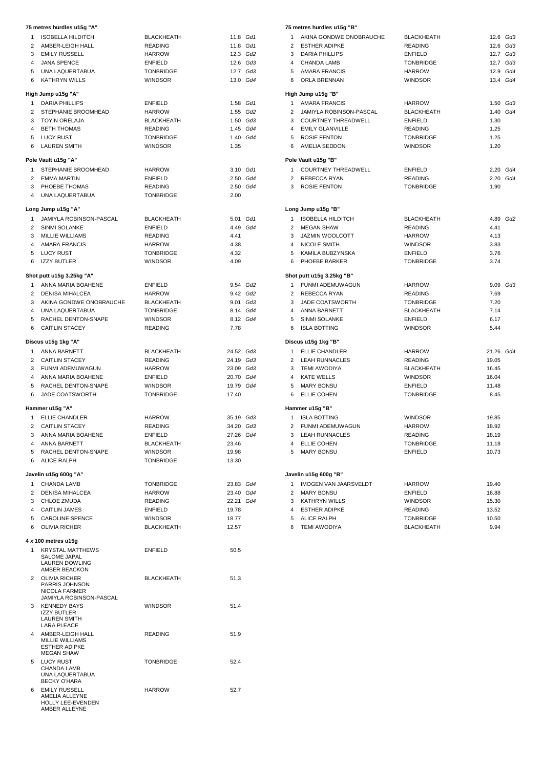|                | 75 metres hurdles u15g "A"                                                                |                                    |                    |          |                | 75 metres h                 |
|----------------|-------------------------------------------------------------------------------------------|------------------------------------|--------------------|----------|----------------|-----------------------------|
| $\mathbf{1}$   | <b>ISOBELLA HILDITCH</b>                                                                  | <b>BLACKHEATH</b>                  |                    | 11.8 Gd1 | $\mathbf{1}$   | AKINA                       |
| $\overline{2}$ | AMBER-LEIGH HALL                                                                          | <b>READING</b>                     |                    | 11.8 Gd1 | $\mathbf{2}$   | <b>ESTHI</b>                |
| 3              | EMILY RUSSELL                                                                             | <b>HARROW</b>                      |                    | 12.3 Gd2 | 3              | <b>DARIA</b>                |
| $\overline{4}$ | <b>JANA SPENCE</b>                                                                        | <b>ENFIELD</b>                     |                    | 12.6 Gd3 | 4              | <b>CHAN</b>                 |
| 5              | UNA LAQUERTABUA                                                                           | <b>TONBRIDGE</b>                   |                    | 12.7 Gd3 | 5              | AMAR                        |
| 6              | <b>KATHRYN WILLS</b>                                                                      | <b>WINDSOR</b>                     |                    | 13.0 Gd4 | 6              | ORLA                        |
|                | High Jump u15g "A"                                                                        |                                    |                    |          |                | High Jump                   |
| $\mathbf{1}$   | <b>DARIA PHILLIPS</b>                                                                     | <b>ENFIELD</b>                     |                    | 1.58 Gd1 | $\mathbf{1}$   | AMAR                        |
| $\overline{2}$ | STEPHANIE BROOMHEAD                                                                       | <b>HARROW</b>                      |                    | 1.55 Gd2 | $\mathbf{2}$   | JAMIY                       |
| 3              | <b>TOYIN ORELAJA</b>                                                                      | <b>BLACKHEATH</b>                  |                    | 1.50 Gd3 | 3              | <b>COUR</b>                 |
| 4              | <b>BETH THOMAS</b>                                                                        | <b>READING</b>                     |                    | 1.45 Gd4 | 4              | <b>EMILY</b>                |
| 5              | LUCY RUST                                                                                 | <b>TONBRIDGE</b>                   |                    | 1.40 Gd4 | 5              | <b>ROSIE</b>                |
| 6              | <b>LAUREN SMITH</b>                                                                       | <b>WINDSOR</b>                     | 1.35               |          | 6              | AMEL                        |
|                | Pole Vault u15g "A"                                                                       |                                    |                    |          |                | Pole Vault u                |
| $\mathbf{1}$   | STEPHANIE BROOMHEAD                                                                       | <b>HARROW</b>                      |                    | 3.10 Gd1 |                | 1 COUR                      |
| 2              | <b>EMMA MARTIN</b>                                                                        | <b>ENFIELD</b>                     |                    | 2.50 Gd4 | $\mathbf{2}$   | <b>REBE</b>                 |
|                | 3 PHOEBE THOMAS                                                                           | <b>READING</b>                     |                    | 2.50 Gd4 | 3              | <b>ROSIE</b>                |
| $\overline{4}$ | UNA LAQUERTABUA                                                                           | <b>TONBRIDGE</b>                   | 2.00               |          |                |                             |
|                | Long Jump u15g "A"                                                                        |                                    |                    |          |                | Long Jump                   |
| $\mathbf{1}$   | JAMIYLA ROBINSON-PASCAL                                                                   | <b>BLACKHEATH</b>                  |                    | 5.01 Gd1 | $\mathbf{1}$   | <b>ISOBE</b>                |
| 2              | <b>SINMI SOLANKE</b>                                                                      | <b>ENFIELD</b>                     |                    | 4.49 Gd4 | $\overline{2}$ | <b>MEGA</b>                 |
| 3              | <b>MILLIE WILLIAMS</b>                                                                    | <b>READING</b>                     | 4.41               |          | 3              | <b>JAZMI</b>                |
| $\overline{4}$ | <b>AMARA FRANCIS</b>                                                                      | <b>HARROW</b>                      | 4.38               |          | $\overline{4}$ | <b>NICOL</b>                |
|                |                                                                                           |                                    |                    |          |                |                             |
| 6              | 5 LUCY RUST<br><b>IZZY BUTLER</b>                                                         | <b>TONBRIDGE</b><br><b>WINDSOR</b> | 4.32<br>4.09       |          | 5<br>6         | KAMIL<br>PHOE               |
|                |                                                                                           |                                    |                    |          |                |                             |
|                | Shot putt u15g 3.25kg "A"                                                                 |                                    |                    |          |                | Shot putt u1                |
| $\mathbf{1}$   | ANNA MARIA BOAHENE                                                                        | <b>ENFIELD</b>                     |                    | 9.54 Gd2 | 1              | <b>FUNM</b>                 |
| $\overline{2}$ | <b>DENISA MIHALCEA</b>                                                                    | <b>HARROW</b>                      |                    | 9.42 Gd2 | $\overline{2}$ | <b>REBE</b>                 |
|                | 3 AKINA GONDWE ONOBRAUCHE                                                                 | <b>BLACKHEATH</b>                  |                    | 9.01 Gd3 | 3              | JADE                        |
| $\overline{4}$ | UNA LAQUERTABUA                                                                           | <b>TONBRIDGE</b>                   |                    | 8.14 Gd4 | 4              | <b>ANNA</b>                 |
| 5              | RACHEL DENTON-SNAPE                                                                       | <b>WINDSOR</b>                     |                    | 8.12 Gd4 | 5              | SINMI                       |
| 6              | <b>CAITLIN STACEY</b>                                                                     | <b>READING</b>                     | 7.78               |          | 6              | <b>ISLA E</b>               |
|                | Discus u15g 1kg "A"                                                                       |                                    |                    |          |                | Discus u15g                 |
|                | 1 ANNA BARNETT                                                                            | <b>BLACKHEATH</b>                  | 24.52 Gd3          |          | 1              | <b>ELLIE</b>                |
|                | 2 CAITLIN STACEY                                                                          | <b>READING</b>                     | 24.19 Gd3          |          |                | 2 LEAH                      |
|                | 3 FUNMI ADEMUWAGUN                                                                        | <b>HARROW</b>                      | 23.09 Gd3          |          |                | 3 TEMI                      |
|                | 4 ANNA MARIA BOAHENE                                                                      | <b>ENFIELD</b>                     | 20.70 Gd4          |          |                | 4 KATE                      |
|                |                                                                                           |                                    |                    |          |                |                             |
| 5<br>6         | RACHEL DENTON-SNAPE<br><b>JADE COATSWORTH</b>                                             | <b>WINDSOR</b><br><b>TONBRIDGE</b> | 19.79 Gd4<br>17.40 |          | 5<br>6         | <b>MARY</b><br><b>ELLIE</b> |
|                |                                                                                           |                                    |                    |          |                |                             |
|                | Hammer u15g "A"                                                                           |                                    |                    |          |                | Hammer u1!                  |
| $\mathbf{1}$   | ELLIE CHANDLER                                                                            | <b>HARROW</b>                      | 35.19 Gd3          |          | 1              | <b>ISLA E</b>               |
| $\overline{2}$ | <b>CAITLIN STACEY</b>                                                                     | <b>READING</b>                     | 34.20 Gd3          |          | $\overline{2}$ | <b>FUNM</b>                 |
| 3              | ANNA MARIA BOAHENE                                                                        | <b>ENFIELD</b>                     | 27.26 Gd4          |          | 3              | LEAH                        |
| $\overline{4}$ | ANNA BARNETT                                                                              | BLACKHEATH                         | 23.46              |          | $\overline{4}$ | <b>ELLIE</b>                |
|                | 5 RACHEL DENTON-SNAPE                                                                     | <b>WINDSOR</b>                     | 19.98              |          | 5              | <b>MARY</b>                 |
| 6              | ALICE RALPH                                                                               | TONBRIDGE                          | 13.30              |          |                |                             |
|                | Javelin u15g 600g "A"                                                                     |                                    |                    |          |                | Javelin u15g                |
| 1              | <b>CHANDA LAMB</b>                                                                        | <b>TONBRIDGE</b>                   | 23.83 Gd4          |          | 1              | <b>IMOGI</b>                |
| 2              | DENISA MIHALCEA                                                                           | <b>HARROW</b>                      | 23.40 Gd4          |          | 2              | <b>MARY</b>                 |
|                | 3 CHLOE ZMUDA                                                                             | <b>READING</b>                     | 22.21 Gd4          |          | 3              | KATHI                       |
|                | 4 CAITLIN JAMES                                                                           | <b>ENFIELD</b>                     | 19.78              |          | 4              | <b>ESTHI</b>                |
|                | 5 CAROLINE SPENCE                                                                         | <b>WINDSOR</b>                     | 18.77              |          |                | <b>ALICE</b>                |
|                | 6 OLIVIA RICHER                                                                           | <b>BLACKHEATH</b>                  | 12.57              |          | 5<br>6         | TEMI <sub>/</sub>           |
|                |                                                                                           |                                    |                    |          |                |                             |
|                | 4 x 100 metres u15g                                                                       |                                    |                    |          |                |                             |
| 1              | <b>KRYSTAL MATTHEWS</b><br>SALOME JAPAL<br>LAUREN DOWLING                                 | <b>ENFIELD</b>                     | 50.5               |          |                |                             |
|                | AMBER BEACKON<br>2 OLIVIA RICHER<br>PARRIS JOHNSON<br>NICOLA FARMER                       | BLACKHEATH                         | 51.3               |          |                |                             |
|                | JAMIYLA ROBINSON-PASCAL<br>3 KENNEDY BAYS<br><b>IZZY BUTLER</b>                           | <b>WINDSOR</b>                     | 51.4               |          |                |                             |
|                | <b>LAUREN SMITH</b><br>LARA PLEACE                                                        |                                    |                    |          |                |                             |
|                | 4 AMBER-LEIGH HALL<br><b>MILLIE WILLIAMS</b><br><b>ESTHER ADIPKE</b><br><b>MEGAN SHAW</b> | <b>READING</b>                     | 51.9               |          |                |                             |
| 5              | LUCY RUST<br>CHANDA LAMB<br>UNA LAQUERTABUA<br>BECKY O'HARA                               | <b>TONBRIDGE</b>                   | 52.4               |          |                |                             |
| 6              | EMILY RUSSELL<br>AMELIA ALLEYNE<br>HOLLY LEE-EVENDEN<br>AMBER ALLEYNE                     | <b>HARROW</b>                      | 52.7               |          |                |                             |

|  |  | 75 metres hurdles u15g "B" |  |  |
|--|--|----------------------------|--|--|
|--|--|----------------------------|--|--|

|      | 11.8 Gd1             | 1              | AKINA GONDWE ONOBRAUCHE    | <b>BLACKHEATH</b>                  | 12.6 Gd3             |  |
|------|----------------------|----------------|----------------------------|------------------------------------|----------------------|--|
|      | 11.8 Gd1             | 2              | <b>ESTHER ADIPKE</b>       | <b>READING</b>                     | 12.6 Gd3             |  |
|      | 12.3 Gd2             | 3              | <b>DARIA PHILLIPS</b>      | <b>ENFIELD</b>                     | 12.7 Gd3             |  |
|      | 12.6 Gd3             |                | 4 CHANDA LAMB              | <b>TONBRIDGE</b>                   | 12.7 Gd3             |  |
|      | 12.7 Gd3             | 5              | <b>AMARA FRANCIS</b>       | <b>HARROW</b>                      | 12.9 Gd4             |  |
|      | 13.0 Gd4             | 6              | ORLA BRENNAN               | <b>WINDSOR</b>                     | 13.4 Gd4             |  |
|      |                      |                | High Jump u15g "B"         |                                    |                      |  |
|      |                      | 1              | <b>AMARA FRANCIS</b>       |                                    |                      |  |
|      | 1.58 Gd1<br>1.55 Gd2 | $\overline{2}$ | JAMIYLA ROBINSON-PASCAL    | <b>HARROW</b><br><b>BLACKHEATH</b> | 1.50 Gd3<br>1.40 Gd4 |  |
|      | 1.50 Gd3             | 3              | <b>COURTNEY THREADWELL</b> | <b>ENFIELD</b>                     | 1.30                 |  |
|      | 1.45 Gd4             |                | 4 EMILY GLANVILLE          | <b>READING</b>                     | 1.25                 |  |
|      | 1.40 Gd4             | 5              | <b>ROSIE FENTON</b>        | <b>TONBRIDGE</b>                   |                      |  |
| 1.35 |                      | 6              | AMELIA SEDDON              | <b>WINDSOR</b>                     | 1.25                 |  |
|      |                      |                |                            |                                    | 1.20                 |  |
|      |                      |                | Pole Vault u15g "B"        |                                    |                      |  |
|      | 3.10 <i>Gd1</i>      | 1              | <b>COURTNEY THREADWELL</b> | <b>ENFIELD</b>                     | 2.20 Gd4             |  |
|      | 2.50 Gd4             |                | 2 REBECCA RYAN             | <b>READING</b>                     | 2.20 Gd4             |  |
|      | 2.50 Gd4             | 3              | <b>ROSIE FENTON</b>        | <b>TONBRIDGE</b>                   | 1.90                 |  |
| 2.00 |                      |                |                            |                                    |                      |  |
|      |                      |                | Long Jump u15g "B"         |                                    |                      |  |
|      | 5.01 <i>Gd1</i>      | $\mathbf{1}$   | <b>ISOBELLA HILDITCH</b>   | <b>BLACKHEATH</b>                  | 4.89 Gd2             |  |
|      | 1.49 Gd4             | $\overline{2}$ | MEGAN SHAW                 | <b>READING</b>                     | 4.41                 |  |
| 4.41 |                      | 3              | <b>JAZMIN WOOLCOTT</b>     | <b>HARROW</b>                      | 4.13                 |  |
| 4.38 |                      |                | 4 NICOLE SMITH             | <b>WINDSOR</b>                     | 3.83                 |  |
| 4.32 |                      |                | 5 KAMILA BUBZYNSKA         | <b>ENFIELD</b>                     | 3.76                 |  |
| 4.09 |                      | 6              | PHOEBE BARKER              | <b>TONBRIDGE</b>                   | 3.74                 |  |
|      |                      |                |                            |                                    |                      |  |
|      |                      |                | Shot putt u15g 3.25kg "B"  |                                    |                      |  |
|      | 9.54 Gd2             | 1              | FUNMI ADEMUWAGUN           | <b>HARROW</b>                      | 9.09 Gd3             |  |
|      | 9.42 Gd2             |                | 2 REBECCA RYAN             | <b>READING</b>                     | 7.69                 |  |
|      | 9.01 Gd3             | 3              | JADE COATSWORTH            | <b>TONBRIDGE</b>                   | 7.20                 |  |
|      | 3.14 Gd4             |                | 4 ANNA BARNETT             | <b>BLACKHEATH</b>                  | 7.14                 |  |
|      | 3.12 <i>Gd4</i>      | 5              | SINMI SOLANKE              | <b>ENFIELD</b>                     | 6.17                 |  |
| 7.78 |                      | 6              | <b>ISLA BOTTING</b>        | <b>WINDSOR</b>                     | 5.44                 |  |
|      |                      |                | Discus u15g 1kg "B"        |                                    |                      |  |
|      | 1.52 Gd3             | $\mathbf{1}$   | ELLIE CHANDLER             | <b>HARROW</b>                      | 21.26 Gd4            |  |
|      | 4.19 Gd3             | $\overline{2}$ | <b>LEAH RUNNACLES</b>      | <b>READING</b>                     | 19.05                |  |
|      | 3.09 Gd3             | 3              | TEMI AWODIYA               | <b>BLACKHEATH</b>                  | 16.45                |  |
|      | 0.70 Gd4             | 4              | <b>KATE WELLS</b>          | <b>WINDSOR</b>                     | 16.04                |  |
|      | 9.79 Gd4             | 5              | <b>MARY BONSU</b>          | <b>ENFIELD</b>                     | 11.48                |  |
| 7.40 |                      | 6              | <b>ELLIE COHEN</b>         | <b>TONBRIDGE</b>                   | 8.45                 |  |
|      |                      |                | Hammer u15g "B"            |                                    |                      |  |
|      | 5.19 <i>Gd3</i>      |                | 1 ISLA BOTTING             | <b>WINDSOR</b>                     | 19.85                |  |
|      | 1.20 Gd3             | $\overline{2}$ | FUNMI ADEMUWAGUN           | <b>HARROW</b>                      | 18.92                |  |
|      | 7.26 Gd4             | 3              | LEAH RUNNACLES             | <b>READING</b>                     | 18.19                |  |
| 3.46 |                      | 4              | <b>ELLIE COHEN</b>         | <b>TONBRIDGE</b>                   | 11.18                |  |
| 9.98 |                      | 5              | <b>MARY BONSU</b>          | <b>ENFIELD</b>                     | 10.73                |  |
| 3.30 |                      |                |                            |                                    |                      |  |
|      |                      |                |                            |                                    |                      |  |
|      |                      |                | Javelin u15g 600g "B"      |                                    |                      |  |
|      | 3.83 Gd4             | $\mathbf{1}$   | IMOGEN VAN JAARSVELDT      | <b>HARROW</b>                      | 19.40                |  |
|      | 3.40 Gd4             | 2              | <b>MARY BONSU</b>          | ENFIELD                            | 16.88                |  |
|      | 2.21 Gd4             | 3              | <b>KATHRYN WILLS</b>       | <b>WINDSOR</b>                     | 15.30                |  |
| 9.78 |                      | 4              | <b>ESTHER ADIPKE</b>       | <b>READING</b>                     | 13.52                |  |
| 3.77 |                      | 5              | <b>ALICE RALPH</b>         | <b>TONBRIDGE</b>                   | 10.50                |  |
| 2.57 |                      | 6              | <b>TEMI AWODIYA</b>        | <b>BLACKHEATH</b>                  | 9.94                 |  |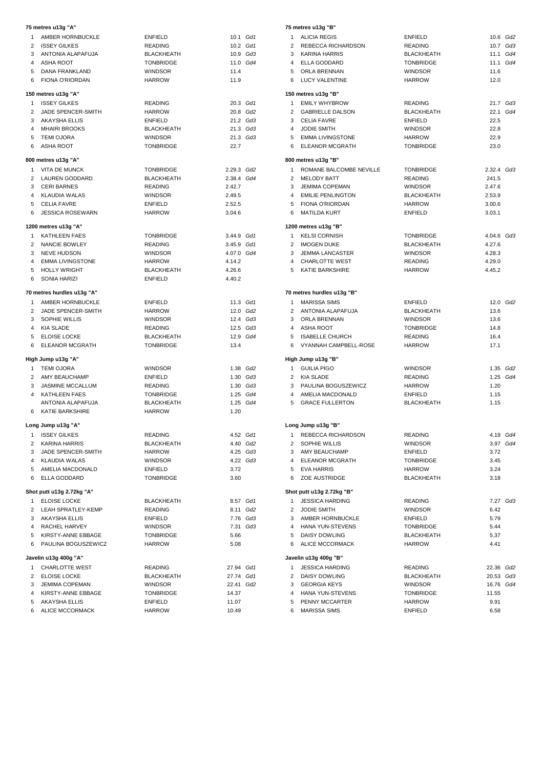|                | 75 metres u13g "A"                    |                                    |                |  |
|----------------|---------------------------------------|------------------------------------|----------------|--|
|                | 1 AMBER HORNBUCKLE                    | <b>ENFIELD</b>                     | 10.1 Gd1       |  |
|                | 2 ISSEY GILKES                        | <b>READING</b>                     | 10.2 Gd1       |  |
|                | 3 ANTONIA ALAPAFUJA                   | BLACKHEATH                         | 10.9 Gd3       |  |
|                | 4 ASHA ROOT                           | <b>TONBRIDGE</b>                   | 11.0 Gd4       |  |
|                | 5 DANA FRANKLAND                      | <b>WINDSOR</b>                     | 11.4           |  |
| 6              | FIONA O'RIORDAN                       | HARROW                             | 11.9           |  |
|                | 150 metres u13g "A"                   |                                    |                |  |
|                | 1 ISSEY GILKES                        | READING                            | 20.3 Gd1       |  |
|                | 2 JADE SPENCER-SMITH                  | HARROW                             | 20.8 Gd2       |  |
|                | 3 AKAYSHA ELLIS                       | <b>ENFIELD</b>                     | 21.2 Gd3       |  |
|                | 4 MHAIRI BROOKS                       | BLACKHEATH                         | 21.3 Gd3       |  |
|                | 5 TEMI OJORA                          | <b>WINDSOR</b>                     | 21.3 Gd3       |  |
|                | 6 ASHA ROOT                           | TONBRIDGE                          | 22.7           |  |
|                | 800 metres u13g "A"                   |                                    |                |  |
|                | 1 VITA DE MUNCK                       | TONBRIDGE                          | 2.29.3 Gd2     |  |
|                | 2 LAUREN GODDARD                      | <b>BLACKHEATH</b>                  | 2.38.4 Gd4     |  |
|                | 3 CERI BARNES                         | READING                            | 2.42.7         |  |
|                | 4 KLAUDIA WALAS                       | <b>WINDSOR</b>                     | 2.49.5         |  |
|                | 5 CELIA FAVRE                         | ENFIELD                            | 2.52.5         |  |
|                | 6 JESSICA ROSEWARN                    | <b>HARROW</b>                      | 3.04.6         |  |
|                | 1200 metres u13g "A"                  |                                    |                |  |
|                | 1 KATHLEEN FAES                       | <b>TONBRIDGE</b>                   | 3.44.9 Gd1     |  |
|                | 2 NANCIE BOWLEY                       | READING                            | 3.45.9 Gd1     |  |
|                | 3 NEVE HUDSON                         | <b>WINDSOR</b>                     | 4.07.0 Gd4     |  |
|                | 4 EMMA LIVINGSTONE                    | HARROW                             | 4.14.2         |  |
|                | 5 HOLLY WRIGHT                        | <b>BLACKHEATH</b>                  | 4.26.6         |  |
|                | 6 SONIA HARIZI                        | ENFIELD                            | 4.40.2         |  |
|                | 70 metres hurdles u13g "A"            |                                    |                |  |
|                | 1 AMBER HORNBUCKLE                    | ENFIELD                            | 11.3 Gd1       |  |
|                | 2 JADE SPENCER-SMITH                  | <b>HARROW</b>                      | 12.0 Gd2       |  |
|                | 3 SOPHIE WILLIS                       | <b>WINDSOR</b>                     | 12.4 Gd3       |  |
|                | 4 KIA SLADE                           | READING                            | 12.5 Gd3       |  |
|                | 5 ELOISE LOCKE                        | <b>BLACKHEATH</b>                  | 12.9 Gd4       |  |
|                | 6 ELEANOR MCGRATH                     | <b>TONBRIDGE</b>                   | 13.4           |  |
|                | High Jump u13g "A"                    |                                    |                |  |
|                | 1 TEMI OJORA                          | <b>WINDSOR</b>                     | 1.38 Gd2       |  |
|                | 2 AMY BEAUCHAMP                       | ENFIELD                            | 1.30 Gd3       |  |
|                | 3 JASMINE MCCALLUM                    | <b>READING</b>                     | 1.30 Gd3       |  |
|                | 4 KATHLEEN FAES                       | <b>TONBRIDGE</b>                   | 1.25 Gd4       |  |
|                | ANTONIA ALAPAFUJA                     | <b>BLACKHEATH</b>                  | 1.25 Gd4       |  |
|                | 6 KATIE BARKSHIRE                     | <b>HARROW</b>                      | 1.20           |  |
|                | Long Jump u13g "A"                    |                                    |                |  |
| 1              | <b>ISSEY GILKES</b>                   | <b>READING</b>                     | 4.52 Gd1       |  |
| $\overline{2}$ | <b>KARINA HARRIS</b>                  | <b>BLACKHEATH</b>                  | 4.40 Gd2       |  |
| 3              | JADE SPENCER-SMITH                    | <b>HARROW</b>                      | 4.25 Gd3       |  |
|                | 4 KLAUDIA WALAS                       | WINDSOR                            | 4.22 Gd3       |  |
| 5              | AMELIA MACDONALD                      | <b>ENFIELD</b>                     | 3.72           |  |
| 6              | ELLA GODDARD                          | <b>TONBRIDGE</b>                   | 3.60           |  |
|                | Shot putt u13g 2.72kg "A"             |                                    |                |  |
| $\mathbf{1}$   | ELOISE LOCKE                          | <b>BLACKHEATH</b>                  | 8.57 Gd1       |  |
|                | 2 LEAH SPRATLEY-KEMP                  | <b>READING</b>                     | 8.11 Gd2       |  |
|                | 3 AKAYSHA ELLIS                       | <b>ENFIELD</b>                     | 7.76 Gd3       |  |
|                | 4 RACHEL HARVEY                       | <b>WINDSOR</b>                     | 7.31 Gd3       |  |
|                | 5 KIRSTY-ANNE EBBAGE                  | <b>TONBRIDGE</b>                   | 5.66           |  |
| 6              | PAULINA BOGUSZEWICZ                   | <b>HARROW</b>                      | 5.08           |  |
|                | Javelin u13g 400g "A"                 |                                    |                |  |
| 1              | <b>CHARLOTTE WEST</b>                 | READING                            | 27.94 Gd1      |  |
|                | 2 ELOISE LOCKE                        | <b>BLACKHEATH</b>                  | 27.74 Gd1      |  |
|                | 3 JEMIMA COPEMAN                      | <b>WINDSOR</b>                     | 22.41 Gd2      |  |
| 5              | 4 KIRSTY-ANNE EBBAGE<br>AKAYSHA ELLIS | <b>TONBRIDGE</b><br><b>ENFIELD</b> | 14.37<br>11.07 |  |
|                | 6 ALICE MCCORMACK                     | HARROW                             | 10.49          |  |

|                | 75 metres u13g "B"                        |                          |              |                      |
|----------------|-------------------------------------------|--------------------------|--------------|----------------------|
| $\mathbf{1}$   | <b>ALICIA REGIS</b>                       | ENFIELD                  | 10.6 Gd2     |                      |
| $\overline{2}$ | REBECCA RICHARDSON                        | <b>READING</b>           |              | 10.7 Gd3             |
| 3              | <b>KARINA HARRIS</b>                      | <b>BLACKHEATH</b>        |              | 11.1 Gd4             |
|                | 4 ELLA GODDARD                            | <b>TONBRIDGE</b>         |              | 11.1 Gd4             |
|                | 5 ORLA BRENNAN                            | <b>WINDSOR</b>           | 11.6         |                      |
| 6              | <b>LUCY VALENTINE</b>                     | <b>HARROW</b>            | 12.0         |                      |
|                | 150 metres u13g "B"                       |                          |              |                      |
| $\mathbf{1}$   | <b>EMILY WHYBROW</b>                      | <b>READING</b>           |              | 21.7 Gd3             |
|                | 2 GABRIELLE DALSON                        | <b>BLACKHEATH</b>        | 22.1 Gd4     |                      |
|                | 3 CELIA FAVRE                             | ENFIELD                  | 22.5         |                      |
| $\overline{4}$ | <b>JODIE SMITH</b>                        | <b>WINDSOR</b>           | 22.8         |                      |
|                | 5 EMMA LIVINGSTONE                        | HARROW                   | 22.9         |                      |
| 6              | <b>ELEANOR MCGRATH</b>                    | <b>TONBRIDGE</b>         | 23.0         |                      |
|                | 800 metres u13g "B"                       |                          |              |                      |
| $\mathbf{1}$   | ROMANE BALCOMBE NEVILLE                   | <b>TONBRIDGE</b>         | 2.32.4 Gd3   |                      |
| $\overline{2}$ | <b>MELODY BATT</b>                        | READING                  | 241.5        |                      |
| 3              | <b>JEMIMA COPEMAN</b>                     | <b>WINDSOR</b>           | 2.47.6       |                      |
| $\overline{4}$ | <b>EMILIE PENLINGTON</b>                  | <b>BLACKHEATH</b>        | 2.53.9       |                      |
| 5              | <b>FIONA O'RIORDAN</b>                    | <b>HARROW</b>            | 3.00.6       |                      |
| 6              | <b>MATILDA KURT</b>                       | <b>ENFIELD</b>           | 3.03.1       |                      |
|                | 1200 metres u13g "B"                      |                          |              |                      |
| 1              | <b>KELSI CORNISH</b>                      | <b>TONBRIDGE</b>         | 4.04.6 Gd3   |                      |
| $\overline{2}$ | <b>IMOGEN DUKE</b>                        | <b>BLACKHEATH</b>        | 4.27.6       |                      |
| 3              | <b>JEMMA LANCASTER</b>                    | <b>WINDSOR</b>           | 4.28.3       |                      |
|                | 4 CHARLOTTE WEST                          | READING                  | 4.29.0       |                      |
| 5              | KATIE BARKSHIRE                           | <b>HARROW</b>            | 4.45.2       |                      |
|                |                                           |                          |              |                      |
|                | 70 metres hurdles u13g "B"                |                          |              |                      |
| 1              | <b>MARISSA SIMS</b>                       | ENFIELD                  |              | 12.0 Gd2             |
| $\overline{2}$ | ANTONIA ALAPAFUJA                         | <b>BLACKHEATH</b>        | 13.6         |                      |
|                | 3 ORLA BRENNAN                            | <b>WINDSOR</b>           | 13.6         |                      |
|                | 4 ASHA ROOT                               | <b>TONBRIDGE</b>         | 14.8         |                      |
|                | 5 ISABELLE CHURCH                         | <b>READING</b>           | 16.4         |                      |
|                | 6 VYANNAH CAMPBELL-ROSE                   | <b>HARROW</b>            | 17.1         |                      |
|                |                                           |                          |              |                      |
| $\mathbf{1}$   | High Jump u13g "B"                        |                          |              |                      |
| $\overline{2}$ | <b>GUILIA PIGO</b>                        | <b>WINDSOR</b>           |              | 1.35 Gd2<br>1.25 Gd4 |
| 3              | KIA SLADE                                 | READING                  |              |                      |
|                | PAULINA BOGUSZEWICZ<br>4 AMELIA MACDONALD | <b>HARROW</b><br>ENFIELD | 1.20         |                      |
|                | 5 GRACE FULLERTON                         | <b>BLACKHEATH</b>        | 1.15<br>1.15 |                      |
|                |                                           |                          |              |                      |
|                | Long Jump u13g "B"                        |                          |              |                      |
| 1              | REBECCA RICHARDSON                        | <b>READING</b>           |              | 4.19 Gd4             |
| 2              | SOPHIE WILLIS                             | <b>WINDSOR</b>           |              | 3.97 Gd4             |
| 3              | AMY BEAUCHAMP                             | <b>ENFIELD</b>           | 3.72         |                      |
| 4              | <b>ELEANOR MCGRATH</b>                    | <b>TONBRIDGE</b>         | 3.45         |                      |
| 5              | EVA HARRIS                                | <b>HARROW</b>            | 3.24         |                      |
| 6              | ZOE AUSTRIDGE                             | BLACKHEATH               | 3.18         |                      |
|                | Shot putt u13g 2.72kg "B"                 |                          |              |                      |
| 1              | <b>JESSICA HARDING</b>                    | <b>READING</b>           |              | 7.27 Gd3             |
| $\overline{2}$ | <b>JODIE SMITH</b>                        | <b>WINDSOR</b>           | 6.42         |                      |
| 3              | AMBER HORNBUCKLE                          | <b>ENFIELD</b>           | 5.79         |                      |
| $\overline{4}$ | HANA YUN-STEVENS                          | <b>TONBRIDGE</b>         | 5.44         |                      |
| 5              | <b>DAISY DOWLING</b>                      | BLACKHEATH               | 5.37         |                      |
| 6              | <b>ALICE MCCORMACK</b>                    | <b>HARROW</b>            | 4.41         |                      |
|                | Javelin u13g 400g "B"                     |                          |              |                      |
| 1              | <b>JESSICA HARDING</b>                    | <b>READING</b>           | 22.36 Gd2    |                      |
| $\overline{2}$ | <b>DAISY DOWLING</b>                      | BLACKHEATH               | 20.53 Gd3    |                      |
| 3              | <b>GEORGIA KEYS</b>                       | <b>WINDSOR</b>           | 16.76 Gd4    |                      |
| 4              | HANA YUN-STEVENS                          | <b>TONBRIDGE</b>         | 11.55        |                      |
| 5              | PENNY MCCARTER                            | <b>HARROW</b>            | 9.91         |                      |
| 6              | <b>MARISSA SIMS</b>                       | <b>ENFIELD</b>           | 6.58         |                      |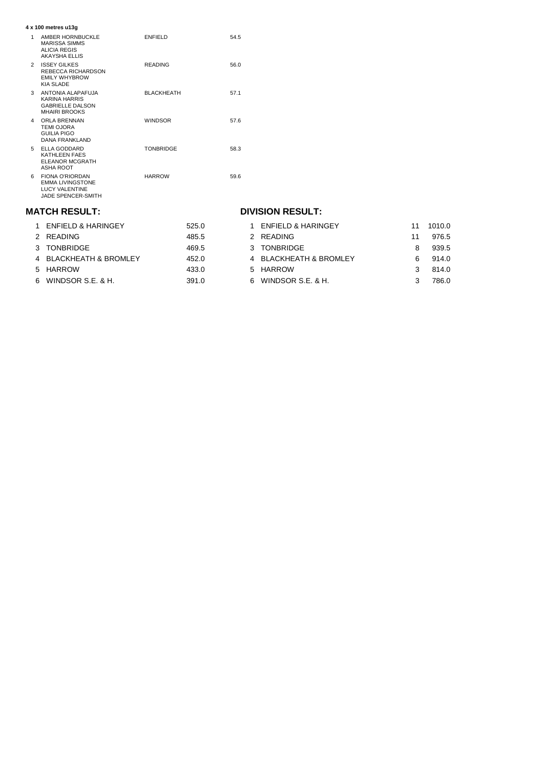| 4 x 100 metres u13g |                                                                                                  |                   |      |  |  |
|---------------------|--------------------------------------------------------------------------------------------------|-------------------|------|--|--|
| 1                   | AMBER HORNBUCKLE<br><b>MARISSA SIMMS</b><br>ALICIA REGIS<br><b>AKAYSHA ELLIS</b>                 | <b>ENFIELD</b>    | 54.5 |  |  |
| $\mathcal{P}$       | <b>ISSEY GILKES</b><br>REBECCA RICHARDSON<br><b>EMILY WHYBROW</b><br><b>KIA SLADE</b>            | <b>READING</b>    | 56.0 |  |  |
| 3                   | ANTONIA ALAPAFUJA<br><b>KARINA HARRIS</b><br><b>GABRIELLE DALSON</b><br><b>MHAIRI BROOKS</b>     | <b>BLACKHEATH</b> | 57.1 |  |  |
| 4                   | ORLA BRENNAN<br><b>TEMI OJORA</b><br>GUILIA PIGO<br><b>DANA FRANKLAND</b>                        | <b>WINDSOR</b>    | 57.6 |  |  |
| 5.                  | ELLA GODDARD<br>KATHLEEN FAES<br>ELEANOR MCGRATH<br>ASHA ROOT                                    | <b>TONBRIDGE</b>  | 58.3 |  |  |
| 6.                  | <b>FIONA O'RIORDAN</b><br><b>EMMA LIVINGSTONE</b><br><b>LUCY VALENTINE</b><br>JADE SPENCER-SMITH | <b>HARROW</b>     | 59.6 |  |  |

#### **MATCH RESULT:**

## **DIVISION RESULT:**

| 525.0                                                                                                         | ENFIELD & HARINGEY |                                                                                     | 1010.0 |
|---------------------------------------------------------------------------------------------------------------|--------------------|-------------------------------------------------------------------------------------|--------|
| 485.5                                                                                                         |                    | 11                                                                                  | 976.5  |
| 469.5                                                                                                         |                    | 8                                                                                   | 939.5  |
| 452.0                                                                                                         |                    | ิค                                                                                  | 914.0  |
| 433.0                                                                                                         |                    |                                                                                     | 814.0  |
| 391.0                                                                                                         |                    |                                                                                     | 786.0  |
| 1 ENFIELD & HARINGEY<br>2 READING<br>3 TONBRIDGE<br>4 BLACKHEATH & BROMLEY<br>5 HARROW<br>6 WINDSOR S.E. & H. |                    | 2 READING<br>3 TONBRIDGE<br>4 BLACKHEATH & BROMLEY<br>5 HARROW<br>WINDSOR S.E. & H. |        |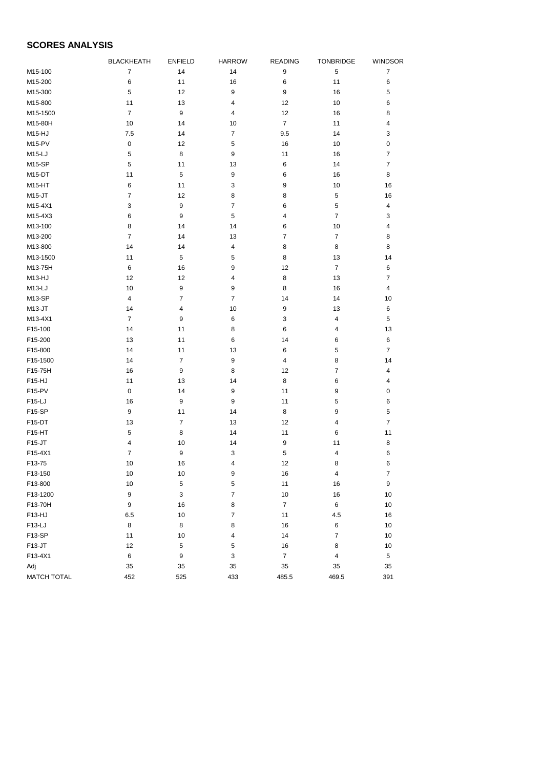## **SCORES ANALYSIS**

|                           | <b>BLACKHEATH</b> | <b>ENFIELD</b>   | <b>HARROW</b>    | <b>READING</b>   | TONBRIDGE      | <b>WINDSOR</b>          |
|---------------------------|-------------------|------------------|------------------|------------------|----------------|-------------------------|
| M15-100                   | $\overline{7}$    | 14               | 14               | $\boldsymbol{9}$ | $\mathbf 5$    | $\overline{7}$          |
| M15-200                   | 6                 | 11               | 16               | 6                | 11             | 6                       |
| M15-300                   | 5                 | 12               | $\boldsymbol{9}$ | 9                | 16             | 5                       |
| M15-800                   | 11                | 13               | 4                | 12               | 10             | 6                       |
| M15-1500                  | $\overline{7}$    | 9                | 4                | 12               | 16             | 8                       |
| M15-80H                   | 10                | 14               | 10               | $\overline{7}$   | 11             | 4                       |
| M15-HJ                    | 7.5               | 14               | 7                | 9.5              | 14             | 3                       |
| M15-PV                    | $\pmb{0}$         | 12               | 5                | 16               | 10             | 0                       |
| M15-LJ                    | 5                 | 8                | 9                | 11               | 16             | $\overline{7}$          |
| <b>M15-SP</b>             | 5                 | 11               | 13               | 6                | 14             | $\overline{7}$          |
| M15-DT                    | 11                | 5                | 9                | 6                | 16             | 8                       |
| M15-HT                    | 6                 | 11               | 3                | 9                | 10             | 16                      |
| M15-JT                    | 7                 | 12               | 8                | 8                | 5              | 16                      |
| M15-4X1                   | 3                 | 9                | 7                | 6                | 5              | $\overline{\mathbf{4}}$ |
| M15-4X3                   | 6                 | 9                | 5                | 4                | $\overline{7}$ | 3                       |
| M13-100                   | 8                 | 14               | 14               | 6                | 10             | 4                       |
| M13-200                   | $\overline{7}$    | 14               | 13               | $\overline{7}$   | $\overline{7}$ | 8                       |
| M13-800                   | 14                | 14               | 4                | 8                | 8              | 8                       |
| M13-1500                  | 11                | 5                | 5                | 8                | 13             | 14                      |
| M13-75H                   | 6                 | 16               | 9                | 12               | $\overline{7}$ | 6                       |
| M13-HJ                    | 12                | 12               | 4                | 8                | 13             | $\overline{7}$          |
| $M13-LJ$                  | 10                | 9                | 9                | 8                | 16             | 4                       |
| M13-SP                    | 4                 | 7                | $\overline{7}$   | 14               | 14             | 10                      |
| $M13-JT$                  | 14                | $\overline{4}$   | 10               | 9                | 13             | 6                       |
| M13-4X1                   | $\overline{7}$    | 9                | 6                | 3                | 4              | 5                       |
| F15-100                   | 14                | 11               | 8                | 6                | 4              | 13                      |
| F15-200                   | 13                | 11               | 6                | 14               | 6              | 6                       |
| F15-800                   | 14                | 11               | 13               | 6                | 5              | $\overline{7}$          |
| F15-1500                  | 14                | $\overline{7}$   | 9                | 4                | 8              | 14                      |
| F15-75H                   | 16                | 9                | 8                | 12               | 7              | 4                       |
| F15-HJ                    | 11                | 13               | 14               | 8                | 6              | 4                       |
| F15-PV                    | 0                 | 14               | 9                | 11               | 9              | 0                       |
| F15-LJ                    | 16                | $\boldsymbol{9}$ | 9                | 11               | $\sqrt{5}$     | 6                       |
| F15-SP                    | $\boldsymbol{9}$  | 11               | 14               | 8                | 9              | 5                       |
| F <sub>15</sub> -DT       | 13                | $\overline{7}$   | 13               | 12               | 4              | $\overline{7}$          |
| F15-HT                    | 5                 | 8                | 14               | 11               | 6              | 11                      |
| F15-JT                    | 4                 | 10               | 14               | 9                | 11             | 8                       |
| F15-4X1                   | 7                 | 9                | 3                | 5                | 4              | 6                       |
| F13-75                    | 10                | 16               | $\overline{4}$   | 12               | 8              | 6                       |
| F13-150                   | $10$              | 10               | 9                | 16               | 4              | $\boldsymbol{7}$        |
| F13-800                   | $10\,$            | $\,$ 5 $\,$      | 5                | 11               | 16             | $\boldsymbol{9}$        |
| F13-1200                  | $\boldsymbol{9}$  | $\mathbf{3}$     | $\overline{7}$   | 10               | 16             | 10                      |
| F13-70H                   | $\boldsymbol{9}$  | 16               | 8                | $\overline{7}$   | 6              | 10                      |
| F13-HJ                    | 6.5               | 10               | $\overline{7}$   | 11               | 4.5            | 16                      |
| F13-LJ                    | $\bf8$            | 8                | 8                | 16               | 6              | 10                      |
| F13-SP                    | 11                | 10               | 4                | 14               | 7              | 10                      |
| F13-JT                    | 12                | 5                | 5                | 16               | 8              | $10$                    |
| F13-4X1                   | $\,6$             | 9                | 3                | $\overline{7}$   | 4              | 5                       |
|                           | 35                | 35               | 35               | 35               | 35             | 35                      |
| Adj<br><b>MATCH TOTAL</b> |                   |                  |                  |                  |                |                         |
|                           | 452               | 525              | 433              | 485.5            | 469.5          | 391                     |